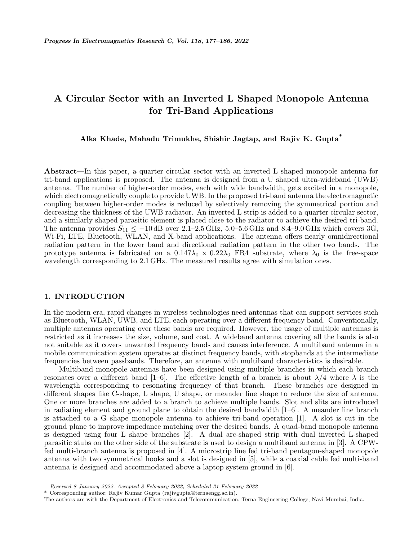# **A Circular Sector with an Inverted L Shaped Monopole Antenna for Tri-Band Applications**

**Alka Khade, Mahadu Trimukhe, Shishir Jagtap, and Rajiv K. Gupta\***

**Abstract**—In this paper, a quarter circular sector with an inverted L shaped monopole antenna for tri-band applications is proposed. The antenna is designed from a U shaped ultra-wideband (UWB) antenna. The number of higher-order modes, each with wide bandwidth, gets excited in a monopole, which electromagnetically couple to provide UWB. In the proposed tri-band antenna the electromagnetic coupling between higher-order modes is reduced by selectively removing the symmetrical portion and decreasing the thickness of the UWB radiator. An inverted L strip is added to a quarter circular sector, and a similarly shaped parasitic element is placed close to the radiator to achieve the desired tri-band. The antenna provides *S*<sup>11</sup> *≤ −*10 dB over 2.1–2.5 GHz, 5.0–5.6 GHz and 8.4–9.0 GHz which covers 3G, Wi-Fi, LTE, Bluetooth, WLAN, and X-band applications. The antenna offers nearly omnidirectional radiation pattern in the lower band and directional radiation pattern in the other two bands. The prototype antenna is fabricated on a  $0.147\lambda_0 \times 0.22\lambda_0$  FR4 substrate, where  $\lambda_0$  is the free-space wavelength corresponding to 2.1 GHz. The measured results agree with simulation ones.

# **1. INTRODUCTION**

In the modern era, rapid changes in wireless technologies need antennas that can support services such as Bluetooth, WLAN, UWB, and LTE, each operating over a different frequency band. Conventionally, multiple antennas operating over these bands are required. However, the usage of multiple antennas is restricted as it increases the size, volume, and cost. A wideband antenna covering all the bands is also not suitable as it covers unwanted frequency bands and causes interference. A multiband antenna in a mobile communication system operates at distinct frequency bands, with stopbands at the intermediate frequencies between passbands. Therefore, an antenna with multiband characteristics is desirable.

Multiband monopole antennas have been designed using multiple branches in which each branch resonates over a different band [1–6]. The effective length of a branch is about  $\lambda/4$  where  $\lambda$  is the wavelength corresponding to resonating frequency of that branch. These branches are designed in different shapes like C-shape, L shape, U shape, or meander line shape to reduce the size of antenna. One or more branches are added to a branch to achieve multiple bands. Slot and slits are introduced in radiating element and ground plane to obtain the desired bandwidth [1–6]. A meander line branch is attached to a G shape monopole antenna to achieve tri-band operation [1]. A slot is cut in the ground plane to improve impedance matching over the desired bands. A quad-band monopole antenna is designed using four L shape branches [2]. A dual arc-shaped strip with dual inverted L-shaped parasitic stubs on the other side of the substrate is used to design a multiband antenna in [3]. A CPWfed multi-branch antenna is proposed in [4]. A microstrip line fed tri-band pentagon-shaped monopole antenna with two symmetrical hooks and a slot is designed in [5], while a coaxial cable fed multi-band antenna is designed and accommodated above a laptop system ground in [6].

*Received 8 January 2022, Accepted 8 February 2022, Scheduled 21 February 2022*

Corresponding author: Rajiv Kumar Gupta (rajivgupta@ternaengg.ac.in).

The authors are with the Department of Electronics and Telecommunication, Terna Engineering College, Navi-Mumbai, India.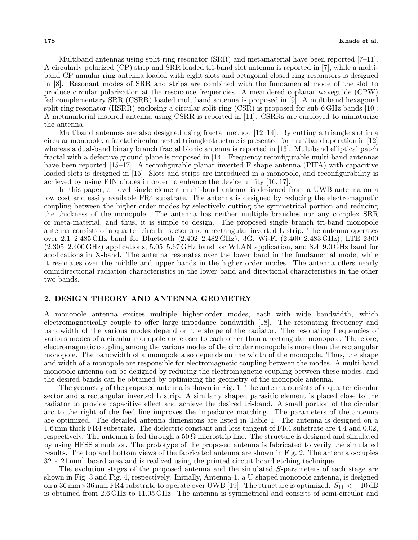Multiband antennas using split-ring resonator (SRR) and metamaterial have been reported [7–11]. A circularly polarized (CP) strip and SRR loaded tri-band slot antenna is reported in [7], while a multiband CP annular ring antenna loaded with eight slots and octagonal closed ring resonators is designed in [8]. Resonant modes of SRR and strips are combined with the fundamental mode of the slot to produce circular polarization at the resonance frequencies. A meandered coplanar waveguide (CPW) fed complementary SRR (CSRR) loaded multiband antenna is proposed in [9]. A multiband hexagonal split-ring resonator (HSRR) enclosing a circular split-ring (CSR) is proposed for sub-6 GHz bands [10]. A metamaterial inspired antenna using CSRR is reported in [11]. CSRRs are employed to miniaturize the antenna.

Multiband antennas are also designed using fractal method [12–14]. By cutting a triangle slot in a circular monopole, a fractal circular nested triangle structure is presented for multiband operation in [12] whereas a dual-band binary branch fractal bionic antenna is reported in [13]. Multiband elliptical patch fractal with a defective ground plane is proposed in [14]. Frequency reconfigurable multi-band antennas have been reported [15–17]. A reconfigurable planar inverted F shape antenna (PIFA) with capacitive loaded slots is designed in [15]. Slots and strips are introduced in a monopole, and reconfigurability is achieved by using PIN diodes in order to enhance the device utility [16, 17].

In this paper, a novel single element multi-band antenna is designed from a UWB antenna on a low cost and easily available FR4 substrate. The antenna is designed by reducing the electromagnetic coupling between the higher-order modes by selectively cutting the symmetrical portion and reducing the thickness of the monopole. The antenna has neither multiple branches nor any complex SRR or meta-material, and thus, it is simple to design. The proposed single branch tri-band monopole antenna consists of a quarter circular sector and a rectangular inverted L strip. The antenna operates over 2.1–2.485 GHz band for Bluetooth (2.402–2.482 GHz), 3G, Wi-Fi (2.400–2.483 GHz), LTE 2300  $(2.305-2.400 \text{ GHz})$  applications,  $5.05-5.67 \text{ GHz}$  band for WLAN application, and  $8.4-9.0 \text{ GHz}$  band for applications in X-band. The antenna resonates over the lower band in the fundamental mode, while it resonates over the middle and upper bands in the higher order modes. The antenna offers nearly omnidirectional radiation characteristics in the lower band and directional characteristics in the other two bands.

### **2. DESIGN THEORY AND ANTENNA GEOMETRY**

A monopole antenna excites multiple higher-order modes, each with wide bandwidth, which electromagnetically couple to offer large impedance bandwidth [18]. The resonating frequency and bandwidth of the various modes depend on the shape of the radiator. The resonating frequencies of various modes of a circular monopole are closer to each other than a rectangular monopole. Therefore, electromagnetic coupling among the various modes of the circular monopole is more than the rectangular monopole. The bandwidth of a monopole also depends on the width of the monopole. Thus, the shape and width of a monopole are responsible for electromagnetic coupling between the modes. A multi-band monopole antenna can be designed by reducing the electromagnetic coupling between these modes, and the desired bands can be obtained by optimizing the geometry of the monopole antenna.

The geometry of the proposed antenna is shown in Fig. 1. The antenna consists of a quarter circular sector and a rectangular inverted L strip. A similarly shaped parasitic element is placed close to the radiator to provide capacitive effect and achieve the desired tri-band. A small portion of the circular arc to the right of the feed line improves the impedance matching. The parameters of the antenna are optimized. The detailed antenna dimensions are listed in Table 1. The antenna is designed on a 1.6 mm thick FR4 substrate. The dielectric constant and loss tangent of FR4 substrate are 4.4 and 0.02, respectively. The antenna is fed through a  $50\Omega$  microstrip line. The structure is designed and simulated by using HFSS simulator. The prototype of the proposed antenna is fabricated to verify the simulated results. The top and bottom views of the fabricated antenna are shown in Fig. 2. The antenna occupies  $32 \times 21 \text{ mm}^2$  board area and is realized using the printed circuit board etching technique.

The evolution stages of the proposed antenna and the simulated *S*-parameters of each stage are shown in Fig. 3 and Fig. 4, respectively. Initially, Antenna-1, a U-shaped monopole antenna, is designed on a 36 mm*×*36 mm FR4 substrate to operate over UWB [19]. The structure is optimized. *S*<sup>11</sup> *< −*10 dB is obtained from 2.6 GHz to 11.05 GHz. The antenna is symmetrical and consists of semi-circular and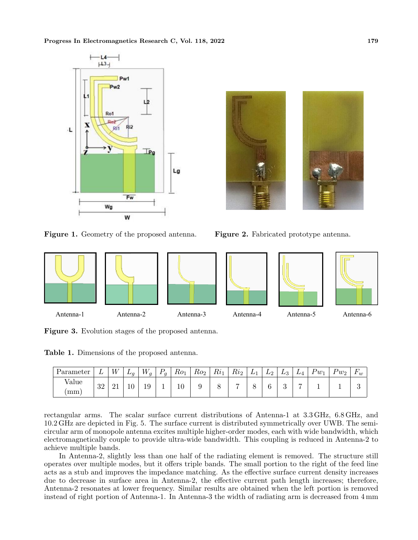

**Figure 1.** Geometry of the proposed antenna. **Figure 2.** Fabricated prototype antenna.



**Figure 3.** Evolution stages of the proposed antenna.

**Table 1.** Dimensions of the proposed antenna.

| 'arameter   |                | 'N | $-a$      | W<br>        | D<br><b>.</b><br><br>v | Ro <sub>1</sub> | Ro <sub>2</sub><br>- | Ri<br><b>.</b> | Ri <sub>2</sub><br>∸ | ⊥ | ப<br>▵ | ₽ς | – | $P_{w_1}$ | Pwɔ<br>ı<br>∸ | $\overline{\phantom{0}}$<br>$\sim w$ |
|-------------|----------------|----|-----------|--------------|------------------------|-----------------|----------------------|----------------|----------------------|---|--------|----|---|-----------|---------------|--------------------------------------|
| value<br>mm | റെ<br>$\sigma$ | 4⊥ | <b>LU</b> | $\sim$<br>19 | -                      | 1 ጦ<br>τn       |                      |                | −                    | ◡ |        |    | - |           |               | c                                    |

rectangular arms. The scalar surface current distributions of Antenna-1 at 3.3 GHz, 6.8 GHz, and 10.2 GHz are depicted in Fig. 5. The surface current is distributed symmetrically over UWB. The semicircular arm of monopole antenna excites multiple higher-order modes, each with wide bandwidth, which electromagnetically couple to provide ultra-wide bandwidth. This coupling is reduced in Antenna-2 to achieve multiple bands.

In Antenna-2, slightly less than one half of the radiating element is removed. The structure still operates over multiple modes, but it offers triple bands. The small portion to the right of the feed line acts as a stub and improves the impedance matching. As the effective surface current density increases due to decrease in surface area in Antenna-2, the effective current path length increases; therefore, Antenna-2 resonates at lower frequency. Similar results are obtained when the left portion is removed instead of right portion of Antenna-1. In Antenna-3 the width of radiating arm is decreased from 4 mm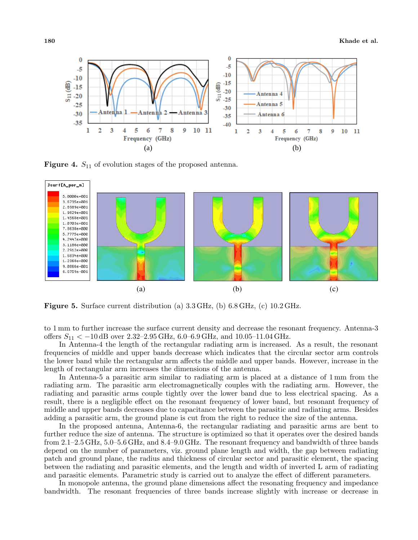

**Figure 4.**  $S_{11}$  of evolution stages of the proposed antenna.



**Figure 5.** Surface current distribution (a)  $3.3 \text{ GHz}$ , (b)  $6.8 \text{ GHz}$ , (c)  $10.2 \text{ GHz}$ .

to 1 mm to further increase the surface current density and decrease the resonant frequency. Antenna-3 offers *S*<sup>11</sup> *< −*10 dB over 2.32–2.95 GHz, 6.0–6.9 GHz, and 10.05–11.04 GHz.

In Antenna-4 the length of the rectangular radiating arm is increased. As a result, the resonant frequencies of middle and upper bands decrease which indicates that the circular sector arm controls the lower band while the rectangular arm affects the middle and upper bands. However, increase in the length of rectangular arm increases the dimensions of the antenna.

In Antenna-5 a parasitic arm similar to radiating arm is placed at a distance of 1 mm from the radiating arm. The parasitic arm electromagnetically couples with the radiating arm. However, the radiating and parasitic arms couple tightly over the lower band due to less electrical spacing. As a result, there is a negligible effect on the resonant frequency of lower band, but resonant frequency of middle and upper bands decreases due to capacitance between the parasitic and radiating arms. Besides adding a parasitic arm, the ground plane is cut from the right to reduce the size of the antenna.

In the proposed antenna, Antenna-6, the rectangular radiating and parasitic arms are bent to further reduce the size of antenna. The structure is optimized so that it operates over the desired bands from 2.1–2.5 GHz, 5.0–5.6 GHz, and 8.4–9.0 GHz. The resonant frequency and bandwidth of three bands depend on the number of parameters, viz. ground plane length and width, the gap between radiating patch and ground plane, the radius and thickness of circular sector and parasitic element, the spacing between the radiating and parasitic elements, and the length and width of inverted L arm of radiating and parasitic elements. Parametric study is carried out to analyze the effect of different parameters.

In monopole antenna, the ground plane dimensions affect the resonating frequency and impedance bandwidth. The resonant frequencies of three bands increase slightly with increase or decrease in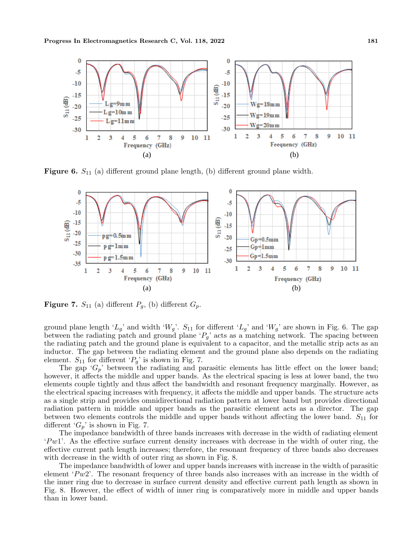

**Figure 6.**  $S_{11}$  (a) different ground plane length, (b) different ground plane width.



**Figure 7.**  $S_{11}$  (a) different  $P_g$ , (b) different  $G_p$ .

ground plane length '*Lg*' and width '*Wg*'. *S*<sup>11</sup> for different '*Lg*' and '*Wg*' are shown in Fig. 6. The gap between the radiating patch and ground plane  $P_g$ <sup>'</sup> acts as a matching network. The spacing between the radiating patch and the ground plane is equivalent to a capacitor, and the metallic strip acts as an inductor. The gap between the radiating element and the ground plane also depends on the radiating element.  $S_{11}$  for different ' $P_g$ ' is shown in Fig. 7.

The gap  $G_p$  between the radiating and parasitic elements has little effect on the lower band; however, it affects the middle and upper bands. As the electrical spacing is less at lower band, the two elements couple tightly and thus affect the bandwidth and resonant frequency marginally. However, as the electrical spacing increases with frequency, it affects the middle and upper bands. The structure acts as a single strip and provides omnidirectional radiation pattern at lower band but provides directional radiation pattern in middle and upper bands as the parasitic element acts as a director. The gap between two elements controls the middle and upper bands without affecting the lower band. *S*<sup>11</sup> for different  $G_p$  is shown in Fig. 7.

The impedance bandwidth of three bands increases with decrease in the width of radiating element '*P w*1'. As the effective surface current density increases with decrease in the width of outer ring, the effective current path length increases; therefore, the resonant frequency of three bands also decreases with decrease in the width of outer ring as shown in Fig. 8.

The impedance bandwidth of lower and upper bands increases with increase in the width of parasitic element '*P w*2'. The resonant frequency of three bands also increases with an increase in the width of the inner ring due to decrease in surface current density and effective current path length as shown in Fig. 8. However, the effect of width of inner ring is comparatively more in middle and upper bands than in lower band.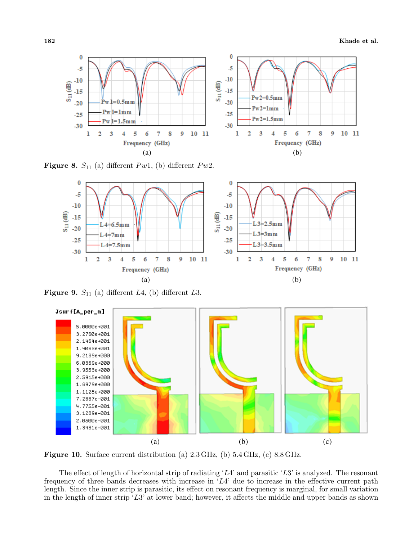

**Figure 8.**  $S_{11}$  (a) different *Pw1*, (b) different *Pw2*.



**Figure 9.**  $S_{11}$  (a) different *L*4, (b) different *L*3.



**Figure 10.** Surface current distribution (a) 2.3 GHz, (b) 5.4 GHz, (c) 8.8 GHz.

The effect of length of horizontal strip of radiating '*L*4' and parasitic '*L*3' is analyzed. The resonant frequency of three bands decreases with increase in '*L*4' due to increase in the effective current path length. Since the inner strip is parasitic, its effect on resonant frequency is marginal, for small variation in the length of inner strip '*L*3' at lower band; however, it affects the middle and upper bands as shown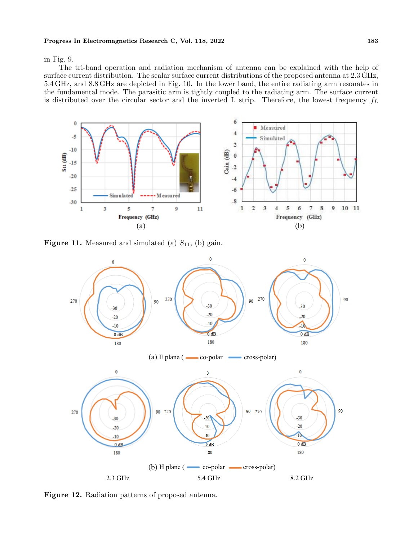### **Progress In Electromagnetics Research C, Vol. 118, 2022 183**

in Fig. 9.

The tri-band operation and radiation mechanism of antenna can be explained with the help of surface current distribution. The scalar surface current distributions of the proposed antenna at 2.3 GHz, 5.4 GHz, and 8.8 GHz are depicted in Fig. 10. In the lower band, the entire radiating arm resonates in the fundamental mode. The parasitic arm is tightly coupled to the radiating arm. The surface current is distributed over the circular sector and the inverted L strip. Therefore, the lowest frequency *f<sup>L</sup>*



**Figure 11.** Measured and simulated (a)  $S_{11}$ , (b) gain.



**Figure 12.** Radiation patterns of proposed antenna.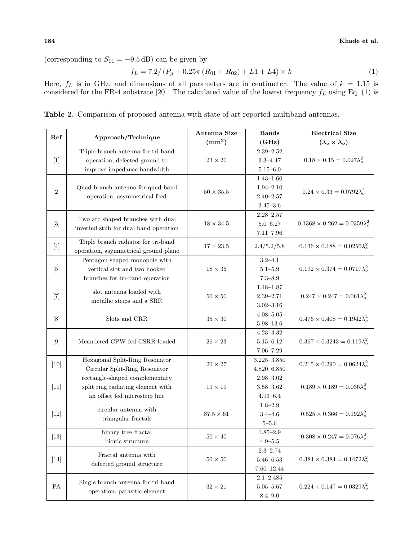(corresponding to  $S_{11} = -9.5$  dB) can be given by

$$
f_L = 7.2 / (P_g + 0.25\pi (R_{01} + R_{02}) + L1 + L4) \times k \tag{1}
$$

Here,  $f_L$  is in GHz, and dimensions of all parameters are in centimeter. The value of  $k = 1.15$  is considered for the FR-4 substrate [20]. The calculated value of the lowest frequency *f<sup>L</sup>* using Eq. (1) is

**Table 2.** Comparison of proposed antenna with state of art reported multiband antennas.

|            |                                       | Antenna Size     | <b>Bands</b>    | <b>Electrical Size</b>                     |  |  |
|------------|---------------------------------------|------------------|-----------------|--------------------------------------------|--|--|
| Ref        | Approach/Technique                    | $\rm (mm^2)$     | (GHz)           | $(\lambda_o \times \lambda_o)$             |  |  |
|            | Triple-branch antenna for tri-band    |                  | $2.39 - 2.52$   |                                            |  |  |
| $[1]$      | operation, defected ground to         | $23 \times 20$   | $3.3 - 4.47$    | $0.18 \times 0.15 = 0.027 \lambda_o^2$     |  |  |
|            | improve impedance bandwidth           |                  | $5.15 - 6.0$    |                                            |  |  |
|            |                                       |                  | $1.43 - 1.60$   |                                            |  |  |
| $[2]$      | Quad branch antenna for quad-band     | $50 \times 35.5$ | $1.94 - 2.10$   | $0.24 \times 0.33 = 0.0792 \lambda_o^2$    |  |  |
|            | operation, asymmetrical feed          |                  | $2.40 - 2.57$   |                                            |  |  |
|            |                                       |                  | $3.45 - 3.6$    |                                            |  |  |
| $[3]$      |                                       | $18 \times 34.5$ | $2.28 - 2.57$   |                                            |  |  |
|            | Two arc shaped branches with dual     |                  | $5.0 - 6.27$    | $0.1368 \times 0.262 = 0.0359 \lambda_o^2$ |  |  |
|            | inverted stub for dual band operation |                  | $7.11 - 7.96$   |                                            |  |  |
| $[4]$      | Triple branch radiator for tri-band   | $17\times23.5$   | 2.4/5.2/5.8     | $0.136 \times 0.188 = 0.0256 \lambda_o^2$  |  |  |
|            | operation, asymmetrical ground plane  |                  |                 |                                            |  |  |
|            | Pentagon shaped monopole with         |                  | $3.2 - 4.1$     |                                            |  |  |
| [5]        | vertical slot and two hooked          | $18 \times 35$   | $5.1 - 5.9$     | $0.192 \times 0.374 = 0.0717 \lambda_o^2$  |  |  |
|            | branches for tri-band operation       |                  | $7.3 - 8.9$     |                                            |  |  |
| $[7]$      | slot antenna loaded with              | $50 \times 50$   | $1.48 - 1.87$   |                                            |  |  |
|            | metallic strips and a SRR             |                  | $2.39 - 2.71$   | $0.247 \times 0.247 = 0.061 \lambda_o^2$   |  |  |
|            |                                       |                  | $3.02 - 3.16$   |                                            |  |  |
| [8]        | Slots and CRR                         | $35 \times 30$   | $4.08 - 5.05$   | $0.476 \times 0.408 = 0.1942 \lambda_o^2$  |  |  |
|            |                                       |                  | $5.98 - 13.6$   |                                            |  |  |
| [9]        |                                       |                  | $4.23 - 4.32$   |                                            |  |  |
|            | Meandered CPW fed CSRR loaded         | $26\times23$     | $5.15 - 6.12$   | $0.367 \times 0.3243 = 0.119 \lambda_o^2$  |  |  |
|            |                                       |                  | $7.06 - 7.29$   |                                            |  |  |
| $[10]$     | Hexagonal Split-Ring Resonator        | $20 \times 27$   | $3.225 - 3.850$ | $0.215 \times 0.290 = 0.0624 \lambda_o^2$  |  |  |
|            | Circular Split-Ring Resonator         |                  | $4.820 - 6.850$ |                                            |  |  |
|            | rectangle-shaped complementary        |                  | $2.98 - 3.02$   |                                            |  |  |
| $[11]$     | split ring radiating element with     | $19 \times 19$   | $3.58 - 3.62$   | $0.189 \times 0.189 = 0.036 \lambda_o^2$   |  |  |
|            | an offset fed microstrip line         |                  | $4.93 - 6.4$    |                                            |  |  |
| $[12]$     | circular antenna with                 |                  | $1.8 - 2.9$     |                                            |  |  |
|            | triangular fractals                   | $87.5\times61$   | $3.4 - 4.6$     | $0.525 \times 0.366 = 0.192 \lambda_o^2$   |  |  |
|            |                                       |                  | $5 - 5.6$       |                                            |  |  |
| $[13]$     | binary tree fractal                   | $50\times40$     | $1.85 - 2.9$    | $0.308 \times 0.247 = 0.076 \lambda_o^2$   |  |  |
|            | bionic structure                      |                  | $4.9 - 5.5$     |                                            |  |  |
| $[14]$     | Fractal antenna with                  |                  | $2.3 - 2.74$    |                                            |  |  |
|            | defected ground structure             | $50\times50$     | $5.46 - 6.53$   | $0.384 \times 0.384 = 0.1472 \lambda_o^2$  |  |  |
|            |                                       |                  | $7.60 - 12.44$  |                                            |  |  |
|            | Single branch antenna for tri-band    |                  | $2.1 - 2.485$   |                                            |  |  |
| ${\rm PA}$ | operation, parasitic element          | $32\times21$     | $5.05 - 5.67$   | $0.224 \times 0.147 = 0.0329 \lambda_o^2$  |  |  |
|            |                                       |                  | $8.4 - 9.0$     |                                            |  |  |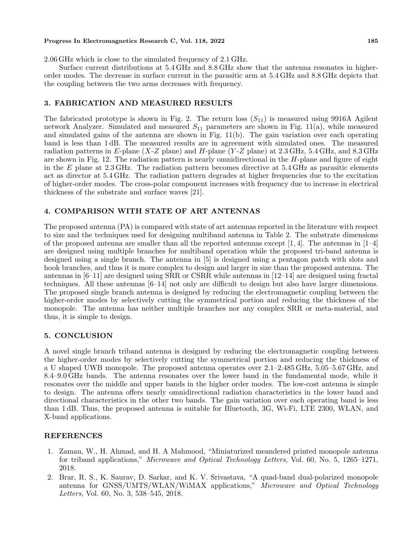#### **Progress In Electromagnetics Research C, Vol. 118, 2022 185**

2.06 GHz which is close to the simulated frequency of 2.1 GHz.

Surface current distributions at 5.4 GHz and 8.8 GHz show that the antenna resonates in higherorder modes. The decrease in surface current in the parasitic arm at 5.4 GHz and 8.8 GHz depicts that the coupling between the two arms decreases with frequency.

# **3. FABRICATION AND MEASURED RESULTS**

The fabricated prototype is shown in Fig. 2. The return loss  $(S_{11})$  is measured using 9916A Agilent network Analyzer. Simulated and measured *S*<sup>11</sup> parameters are shown in Fig. 11(a), while measured and simulated gains of the antenna are shown in Fig. 11(b). The gain variation over each operating band is less than 1 dB. The measured results are in agreement with simulated ones. The measured radiation patterns in *E*-plane (*X*-*Z* plane) and *H*-plane (*Y* -*Z* plane) at 2.3 GHz, 5.4 GHz, and 8.3 GHz are shown in Fig. 12. The radiation pattern is nearly omnidirectional in the *H*-plane and figure of eight in the *E* plane at 2.3 GHz. The radiation pattern becomes directive at 5.4 GHz as parasitic elements act as director at 5.4 GHz. The radiation pattern degrades at higher frequencies due to the excitation of higher-order modes. The cross-polar component increases with frequency due to increase in electrical thickness of the substrate and surface waves [21].

# **4. COMPARISON WITH STATE OF ART ANTENNAS**

The proposed antenna (PA) is compared with state of art antennas reported in the literature with respect to size and the techniques used for designing multiband antenna in Table 2. The substrate dimensions of the proposed antenna are smaller than all the reported antennas except  $[1, 4]$ . The antennas in  $[1-4]$ are designed using multiple branches for multiband operation while the proposed tri-band antenna is designed using a single branch. The antenna in [5] is designed using a pentagon patch with slots and hook branches, and thus it is more complex to design and larger in size than the proposed antenna. The antennas in [6–11] are designed using SRR or CSRR while antennas in [12–14] are designed using fractal techniques. All these antennas [6–14] not only are difficult to design but also have larger dimensions. The proposed single branch antenna is designed by reducing the electromagnetic coupling between the higher-order modes by selectively cutting the symmetrical portion and reducing the thickness of the monopole. The antenna has neither multiple branches nor any complex SRR or meta-material, and thus, it is simple to design.

# **5. CONCLUSION**

A novel single branch triband antenna is designed by reducing the electromagnetic coupling between the higher-order modes by selectively cutting the symmetrical portion and reducing the thickness of a U shaped UWB monopole. The proposed antenna operates over 2.1–2.485 GHz, 5.05–5.67 GHz, and 8.4–9.0 GHz bands. The antenna resonates over the lower band in the fundamental mode, while it resonates over the middle and upper bands in the higher order modes. The low-cost antenna is simple to design. The antenna offers nearly omnidirectional radiation characteristics in the lower band and directional characteristics in the other two bands. The gain variation over each operating band is less than 1 dB. Thus, the proposed antenna is suitable for Bluetooth, 3G, Wi-Fi, LTE 2300, WLAN, and X-band applications.

# **REFERENCES**

- 1. Zaman, W., H. Ahmad, and H. A Mahmood, "Miniaturized meandered printed monopole antenna for triband applications," *Microwave and Optical Technology Letters*, Vol. 60, No. 5, 1265–1271, 2018.
- 2. Brar, R. S., K. Saurav, D. Sarkar, and K. V. Srivastava, "A quad-band dual-polarized monopole antenna for GNSS/UMTS/WLAN/WiMAX applications," *Microwave and Optical Technology Letters*, Vol. 60, No. 3, 538–545, 2018.